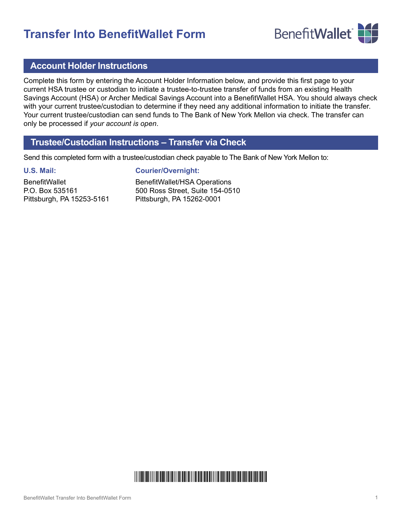# **Transfer Into BenefitWallet Form**



### **Account Holder Instructions**

Complete this form by entering the Account Holder Information below, and provide this first page to your current HSA trustee or custodian to initiate a trustee-to-trustee transfer of funds from an existing Health Savings Account (HSA) or Archer Medical Savings Account into a BenefitWallet HSA. You should always check with your current trustee/custodian to determine if they need any additional information to initiate the transfer. Your current trustee/custodian can send funds to The Bank of New York Mellon via check. The transfer can only be processed if *your account is open*.

## **Trustee/Custodian Instructions – Transfer via Check**

Send this completed form with a trustee/custodian check payable to The Bank of New York Mellon to:

#### **U.S. Mail:**

**BenefitWallet** P.O. Box 535161 Pittsburgh, PA 15253-5161 **Courier/Overnight:**

BenefitWallet/HSA Operations 500 Ross Street, Suite 154-0510 Pittsburgh, PA 15262-0001

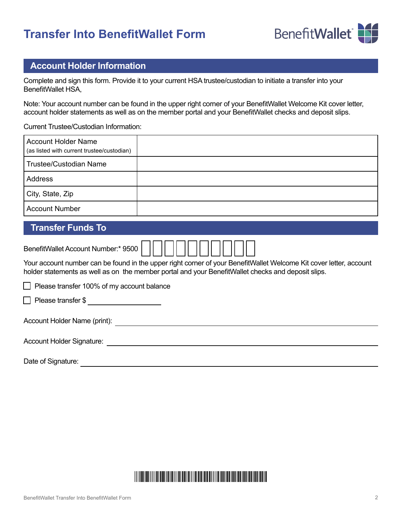# **Transfer Into BenefitWallet Form**



## **Account Holder Information**

Complete and sign this form. Provide it to your current HSA trustee/custodian to initiate a transfer into your BenefitWallet HSA,

Note: Your account number can be found in the upper right corner of your BenefitWallet Welcome Kit cover letter, account holder statements as well as on the member portal and your BenefitWallet checks and deposit slips.

Current Trustee/Custodian Information:

| <b>Account Holder Name</b><br>(as listed with current trustee/custodian) |  |
|--------------------------------------------------------------------------|--|
| Trustee/Custodian Name                                                   |  |
| Address                                                                  |  |
| City, State, Zip                                                         |  |
| <b>Account Number</b>                                                    |  |

## **Transfer Funds To**

| BenefitWallet Account Number:* 9500                                                                                                                                                                                      |  |  |
|--------------------------------------------------------------------------------------------------------------------------------------------------------------------------------------------------------------------------|--|--|
| Your account number can be found in the upper right corner of your BenefitWallet Welcome Kit cover letter, account<br>holder statements as well as on the member portal and your BenefitWallet checks and deposit slips. |  |  |
| Please transfer 100% of my account balance                                                                                                                                                                               |  |  |
| $\Box$ Please transfer \$                                                                                                                                                                                                |  |  |
| Account Holder Name (print):                                                                                                                                                                                             |  |  |
| <b>Account Holder Signature:</b>                                                                                                                                                                                         |  |  |
|                                                                                                                                                                                                                          |  |  |

Date of Signature:

# +TP+HC2+HA+586+222222222